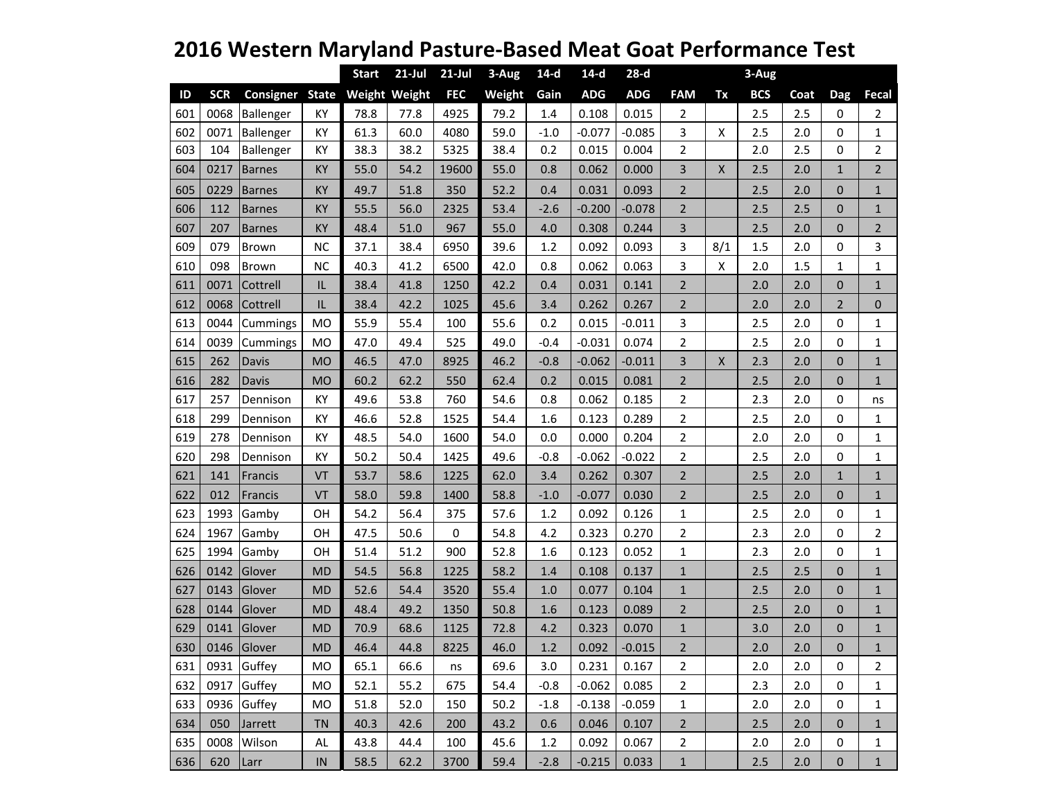|     |            |               |              | <b>Start</b> | $21$ -Jul            | $21-Jul$   | $3-Aug$ | $14-d$ | $14-d$     | $28-d$     |                |                | 3-Aug      |         |                |                |
|-----|------------|---------------|--------------|--------------|----------------------|------------|---------|--------|------------|------------|----------------|----------------|------------|---------|----------------|----------------|
| ID  | <b>SCR</b> | Consigner     | <b>State</b> |              | <b>Weight Weight</b> | <b>FEC</b> | Weight  | Gain   | <b>ADG</b> | <b>ADG</b> | <b>FAM</b>     | Tx             | <b>BCS</b> | Coat    | Dag            | Fecal          |
| 601 | 0068       | Ballenger     | КY           | 78.8         | 77.8                 | 4925       | 79.2    | 1.4    | 0.108      | 0.015      | 2              |                | 2.5        | 2.5     | 0              | $\overline{2}$ |
| 602 | 0071       | Ballenger     | КY           | 61.3         | 60.0                 | 4080       | 59.0    | $-1.0$ | $-0.077$   | $-0.085$   | 3              | $\mathsf{X}$   | 2.5        | 2.0     | 0              | $\mathbf{1}$   |
| 603 | 104        | Ballenger     | KY           | 38.3         | 38.2                 | 5325       | 38.4    | 0.2    | 0.015      | 0.004      | 2              |                | 2.0        | 2.5     | 0              | $\overline{2}$ |
| 604 | 0217       | <b>Barnes</b> | KY           | 55.0         | 54.2                 | 19600      | 55.0    | 0.8    | 0.062      | 0.000      | 3              | $\mathsf{X}$   | 2.5        | 2.0     | $\mathbf{1}$   | $\overline{2}$ |
| 605 | 0229       | <b>Barnes</b> | KY           | 49.7         | 51.8                 | 350        | 52.2    | 0.4    | 0.031      | 0.093      | $\overline{2}$ |                | 2.5        | 2.0     | $\Omega$       | $\mathbf{1}$   |
| 606 | 112        | <b>Barnes</b> | KY           | 55.5         | 56.0                 | 2325       | 53.4    | $-2.6$ | $-0.200$   | $-0.078$   | $\overline{2}$ |                | 2.5        | 2.5     | $\mathbf{0}$   | $\mathbf{1}$   |
| 607 | 207        | <b>Barnes</b> | KY           | 48.4         | 51.0                 | 967        | 55.0    | 4.0    | 0.308      | 0.244      | 3              |                | 2.5        | 2.0     | $\Omega$       | $\overline{2}$ |
| 609 | 079        | Brown         | <b>NC</b>    | 37.1         | 38.4                 | 6950       | 39.6    | 1.2    | 0.092      | 0.093      | 3              | 8/1            | 1.5        | 2.0     | 0              | 3              |
| 610 | 098        | Brown         | <b>NC</b>    | 40.3         | 41.2                 | 6500       | 42.0    | 0.8    | 0.062      | 0.063      | 3              | X              | 2.0        | 1.5     | $\mathbf{1}$   | 1              |
| 611 | 0071       | Cottrell      | IL           | 38.4         | 41.8                 | 1250       | 42.2    | 0.4    | 0.031      | 0.141      | $\overline{2}$ |                | 2.0        | 2.0     | $\Omega$       | $\mathbf{1}$   |
| 612 | 0068       | Cottrell      | IL           | 38.4         | 42.2                 | 1025       | 45.6    | 3.4    | 0.262      | 0.267      | $\overline{2}$ |                | 2.0        | 2.0     | $\overline{2}$ | $\mathbf{0}$   |
| 613 | 0044       | Cummings      | <b>MO</b>    | 55.9         | 55.4                 | 100        | 55.6    | 0.2    | 0.015      | $-0.011$   | 3              |                | 2.5        | 2.0     | 0              | $\mathbf{1}$   |
| 614 | 0039       | Cummings      | <b>MO</b>    | 47.0         | 49.4                 | 525        | 49.0    | $-0.4$ | $-0.031$   | 0.074      | 2              |                | 2.5        | 2.0     | 0              | 1              |
| 615 | 262        | Davis         | <b>MO</b>    | 46.5         | 47.0                 | 8925       | 46.2    | $-0.8$ | $-0.062$   | $-0.011$   | $\overline{3}$ | $\pmb{\times}$ | 2.3        | 2.0     | $\overline{0}$ | $\mathbf{1}$   |
| 616 | 282        | Davis         | <b>MO</b>    | 60.2         | 62.2                 | 550        | 62.4    | 0.2    | 0.015      | 0.081      | 2              |                | 2.5        | 2.0     | $\mathbf{0}$   | $\mathbf{1}$   |
| 617 | 257        | Dennison      | КY           | 49.6         | 53.8                 | 760        | 54.6    | 0.8    | 0.062      | 0.185      | 2              |                | 2.3        | 2.0     | 0              | ns             |
| 618 | 299        | Dennison      | KY           | 46.6         | 52.8                 | 1525       | 54.4    | 1.6    | 0.123      | 0.289      | 2              |                | 2.5        | 2.0     | 0              | 1              |
| 619 | 278        | Dennison      | KY           | 48.5         | 54.0                 | 1600       | 54.0    | 0.0    | 0.000      | 0.204      | $\overline{2}$ |                | 2.0        | 2.0     | 0              | $\mathbf{1}$   |
| 620 | 298        | Dennison      | KY           | 50.2         | 50.4                 | 1425       | 49.6    | $-0.8$ | $-0.062$   | $-0.022$   | $\overline{2}$ |                | 2.5        | 2.0     | $\Omega$       | $\mathbf{1}$   |
| 621 | 141        | Francis       | VT           | 53.7         | 58.6                 | 1225       | 62.0    | 3.4    | 0.262      | 0.307      | $\overline{2}$ |                | 2.5        | 2.0     | $\mathbf{1}$   | $\mathbf{1}$   |
| 622 | 012        | Francis       | VT           | 58.0         | 59.8                 | 1400       | 58.8    | $-1.0$ | $-0.077$   | 0.030      | $\overline{2}$ |                | 2.5        | 2.0     | $\overline{0}$ | $\mathbf{1}$   |
| 623 | 1993       | Gamby         | OH           | 54.2         | 56.4                 | 375        | 57.6    | 1.2    | 0.092      | 0.126      | 1              |                | 2.5        | 2.0     | 0              | 1              |
| 624 | 1967       | Gamby         | OH           | 47.5         | 50.6                 | 0          | 54.8    | 4.2    | 0.323      | 0.270      | 2              |                | 2.3        | 2.0     | 0              | 2              |
| 625 | 1994       | Gamby         | OH           | 51.4         | 51.2                 | 900        | 52.8    | 1.6    | 0.123      | 0.052      | $\mathbf 1$    |                | 2.3        | 2.0     | 0              | $\mathbf{1}$   |
| 626 | 0142       | Glover        | <b>MD</b>    | 54.5         | 56.8                 | 1225       | 58.2    | 1.4    | 0.108      | 0.137      | $\mathbf{1}$   |                | 2.5        | 2.5     | $\mathbf{0}$   | $\mathbf{1}$   |
| 627 | 0143       | Glover        | <b>MD</b>    | 52.6         | 54.4                 | 3520       | 55.4    | 1.0    | 0.077      | 0.104      | $\mathbf{1}$   |                | 2.5        | 2.0     | $\Omega$       | $\mathbf{1}$   |
| 628 | 0144       | Glover        | <b>MD</b>    | 48.4         | 49.2                 | 1350       | 50.8    | 1.6    | 0.123      | 0.089      | 2              |                | 2.5        | 2.0     | $\mathbf{0}$   | $\mathbf{1}$   |
| 629 | 0141       | Glover        | <b>MD</b>    | 70.9         | 68.6                 | 1125       | 72.8    | 4.2    | 0.323      | 0.070      | 1              |                | 3.0        | 2.0     | $\mathbf{0}$   | $\mathbf{1}$   |
| 630 |            | 0146 Glover   | <b>MD</b>    | 46.4         | 44.8                 | 8225       | 46.0    | 1.2    | 0.092      | $-0.015$   | 2              |                | 2.0        | 2.0     | $\overline{0}$ | $\mathbf{1}$   |
| 631 |            | 0931 Guffey   | <b>MO</b>    | 65.1         | 66.6                 | ns         | 69.6    | 3.0    | 0.231      | 0.167      | 2              |                | 2.0        | 2.0     | 0              | $\overline{2}$ |
| 632 | 0917       | Guffey        | MO           | 52.1         | 55.2                 | 675        | 54.4    | $-0.8$ | $-0.062$   | 0.085      | 2              |                | 2.3        | 2.0     | 0              | $\mathbf 1$    |
| 633 | 0936       | Guffey        | <b>MO</b>    | 51.8         | 52.0                 | 150        | 50.2    | $-1.8$ | $-0.138$   | $-0.059$   | 1              |                | 2.0        | 2.0     | 0              | 1              |
| 634 | 050        | Jarrett       | <b>TN</b>    | 40.3         | 42.6                 | 200        | 43.2    | 0.6    | 0.046      | 0.107      | $\overline{2}$ |                | 2.5        | 2.0     | $\overline{0}$ | $\mathbf{1}$   |
| 635 | 0008       | Wilson        | AL           | 43.8         | 44.4                 | 100        | 45.6    | 1.2    | 0.092      | 0.067      | 2              |                | 2.0        | 2.0     | 0              | 1              |
| 636 | 620        | Larr          | ${\sf IN}$   | 58.5         | 62.2                 | 3700       | 59.4    | $-2.8$ | $-0.215$   | 0.033      | $\mathbf 1$    |                | 2.5        | $2.0\,$ | 0              | $\mathbf{1}$   |

## **2016 Western Maryland Pasture-Based Meat Goat Performance Test**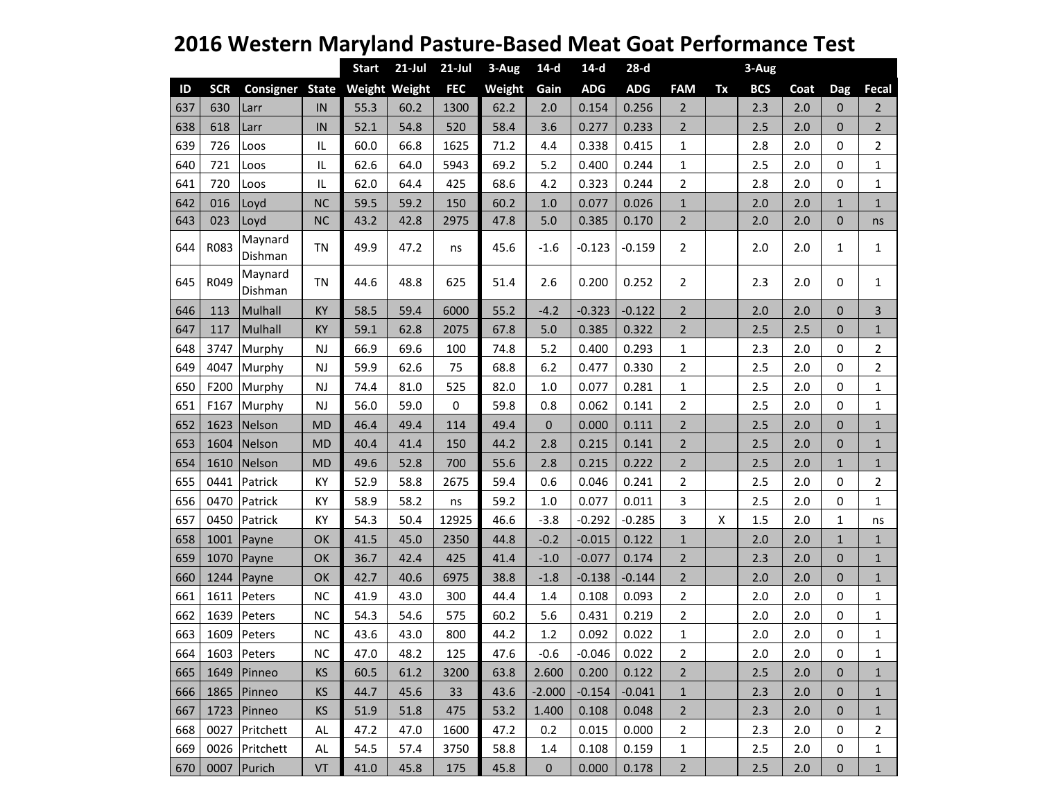|     |            |                        |           | <b>Start</b> | $21$ -Jul     | $21$ -Jul  | 3-Aug  | $14-d$       | $14-d$     | $28-d$     |                |    | $3-Aug$    |      |                |                |
|-----|------------|------------------------|-----------|--------------|---------------|------------|--------|--------------|------------|------------|----------------|----|------------|------|----------------|----------------|
| ID  | <b>SCR</b> | <b>Consigner State</b> |           |              | Weight Weight | <b>FEC</b> | Weight | Gain         | <b>ADG</b> | <b>ADG</b> | <b>FAM</b>     | Tx | <b>BCS</b> | Coat | <b>Dag</b>     | Fecal          |
| 637 | 630        | Larr                   | IN        | 55.3         | 60.2          | 1300       | 62.2   | 2.0          | 0.154      | 0.256      | $\overline{2}$ |    | 2.3        | 2.0  | 0              | $\overline{2}$ |
| 638 | 618        | Larr                   | IN        | 52.1         | 54.8          | 520        | 58.4   | 3.6          | 0.277      | 0.233      | $\overline{2}$ |    | 2.5        | 2.0  | $\mathbf{0}$   | $2^{\circ}$    |
| 639 | 726        | Loos                   | IL        | 60.0         | 66.8          | 1625       | 71.2   | 4.4          | 0.338      | 0.415      | $\mathbf 1$    |    | 2.8        | 2.0  | 0              | $\overline{2}$ |
| 640 | 721        | Loos                   | IL        | 62.6         | 64.0          | 5943       | 69.2   | 5.2          | 0.400      | 0.244      | $\mathbf{1}$   |    | 2.5        | 2.0  | 0              | $\mathbf{1}$   |
| 641 | 720        | Loos                   | IL        | 62.0         | 64.4          | 425        | 68.6   | 4.2          | 0.323      | 0.244      | $\overline{2}$ |    | 2.8        | 2.0  | 0              | $\mathbf{1}$   |
| 642 | 016        | Loyd                   | <b>NC</b> | 59.5         | 59.2          | 150        | 60.2   | 1.0          | 0.077      | 0.026      | $\mathbf{1}$   |    | 2.0        | 2.0  | $\mathbf{1}$   | $\mathbf{1}$   |
| 643 | 023        | Loyd                   | <b>NC</b> | 43.2         | 42.8          | 2975       | 47.8   | 5.0          | 0.385      | 0.170      | $\overline{2}$ |    | 2.0        | 2.0  | $\overline{0}$ | ns             |
| 644 | R083       | Maynard<br>Dishman     | <b>TN</b> | 49.9         | 47.2          | ns         | 45.6   | $-1.6$       | $-0.123$   | $-0.159$   | $\overline{2}$ |    | 2.0        | 2.0  | $\mathbf{1}$   | $\mathbf{1}$   |
| 645 | R049       | Maynard<br>Dishman     | <b>TN</b> | 44.6         | 48.8          | 625        | 51.4   | 2.6          | 0.200      | 0.252      | 2              |    | 2.3        | 2.0  | 0              | $\mathbf{1}$   |
| 646 | 113        | Mulhall                | KY        | 58.5         | 59.4          | 6000       | 55.2   | $-4.2$       | $-0.323$   | $-0.122$   | $\overline{2}$ |    | 2.0        | 2.0  | $\Omega$       | 3              |
| 647 | 117        | Mulhall                | KY        | 59.1         | 62.8          | 2075       | 67.8   | 5.0          | 0.385      | 0.322      | $\overline{2}$ |    | 2.5        | 2.5  | $\overline{0}$ | $\mathbf{1}$   |
| 648 | 3747       | Murphy                 | <b>NJ</b> | 66.9         | 69.6          | 100        | 74.8   | 5.2          | 0.400      | 0.293      | 1              |    | 2.3        | 2.0  | 0              | $\overline{2}$ |
| 649 | 4047       | Murphy                 | <b>NJ</b> | 59.9         | 62.6          | 75         | 68.8   | 6.2          | 0.477      | 0.330      | 2              |    | 2.5        | 2.0  | 0              | $\overline{2}$ |
| 650 | F200       | Murphy                 | <b>NJ</b> | 74.4         | 81.0          | 525        | 82.0   | 1.0          | 0.077      | 0.281      | $\mathbf{1}$   |    | 2.5        | 2.0  | 0              | $\mathbf{1}$   |
| 651 | F167       | Murphy                 | <b>NJ</b> | 56.0         | 59.0          | 0          | 59.8   | 0.8          | 0.062      | 0.141      | $\overline{2}$ |    | 2.5        | 2.0  | 0              | $\mathbf{1}$   |
| 652 | 1623       | <b>Nelson</b>          | <b>MD</b> | 46.4         | 49.4          | 114        | 49.4   | $\mathbf{0}$ | 0.000      | 0.111      | $\overline{2}$ |    | 2.5        | 2.0  | $\mathbf{0}$   | $\mathbf{1}$   |
| 653 | 1604       | Nelson                 | <b>MD</b> | 40.4         | 41.4          | 150        | 44.2   | 2.8          | 0.215      | 0.141      | $\overline{2}$ |    | 2.5        | 2.0  | $\Omega$       | $\mathbf{1}$   |
| 654 | 1610       | Nelson                 | <b>MD</b> | 49.6         | 52.8          | 700        | 55.6   | 2.8          | 0.215      | 0.222      | $\overline{2}$ |    | 2.5        | 2.0  | $\mathbf{1}$   | $\mathbf{1}$   |
| 655 | 0441       | Patrick                | KY        | 52.9         | 58.8          | 2675       | 59.4   | 0.6          | 0.046      | 0.241      | $\overline{2}$ |    | 2.5        | 2.0  | 0              | $\overline{2}$ |
| 656 | 0470       | Patrick                | KY        | 58.9         | 58.2          | ns         | 59.2   | 1.0          | 0.077      | 0.011      | 3              |    | 2.5        | 2.0  | 0              | $\mathbf{1}$   |
| 657 | 0450       | Patrick                | KY        | 54.3         | 50.4          | 12925      | 46.6   | $-3.8$       | $-0.292$   | $-0.285$   | 3              | X  | 1.5        | 2.0  | $\mathbf{1}$   | ns             |
| 658 | 1001       | Payne                  | OK        | 41.5         | 45.0          | 2350       | 44.8   | $-0.2$       | $-0.015$   | 0.122      | $\mathbf{1}$   |    | 2.0        | 2.0  | $\mathbf{1}$   | $\mathbf{1}$   |
| 659 | 1070       | Payne                  | OK        | 36.7         | 42.4          | 425        | 41.4   | $-1.0$       | $-0.077$   | 0.174      | $\overline{2}$ |    | 2.3        | 2.0  | $\Omega$       | $\mathbf{1}$   |
| 660 | 1244       | Payne                  | OK        | 42.7         | 40.6          | 6975       | 38.8   | $-1.8$       | $-0.138$   | $-0.144$   | $\overline{2}$ |    | 2.0        | 2.0  | $\Omega$       | $\mathbf{1}$   |
| 661 | 1611       | Peters                 | <b>NC</b> | 41.9         | 43.0          | 300        | 44.4   | 1.4          | 0.108      | 0.093      | 2              |    | 2.0        | 2.0  | 0              | $\mathbf{1}$   |
| 662 | 1639       | Peters                 | <b>NC</b> | 54.3         | 54.6          | 575        | 60.2   | 5.6          | 0.431      | 0.219      | $\overline{2}$ |    | 2.0        | 2.0  | 0              | $\mathbf{1}$   |
| 663 | 1609       | Peters                 | <b>NC</b> | 43.6         | 43.0          | 800        | 44.2   | $1.2\,$      | 0.092      | 0.022      | $\mathbf{1}$   |    | 2.0        | 2.0  | 0              | $\mathbf{1}$   |
| 664 |            | 1603 Peters            | NC.       | 47.0         | 48.2          | 125        | 47.6   | $-0.6$       | $-0.046$   | 0.022      | 2              |    | 2.0        | 2.0  | 0              | 1              |
| 665 | 1649       | Pinneo                 | <b>KS</b> | 60.5         | 61.2          | 3200       | 63.8   | 2.600        | 0.200      | 0.122      | $2^{\circ}$    |    | 2.5        | 2.0  | $\mathbf{0}$   | $\mathbf{1}$   |
| 666 | 1865       | Pinneo                 | <b>KS</b> | 44.7         | 45.6          | 33         | 43.6   | $-2.000$     | $-0.154$   | $-0.041$   | $\mathbf{1}$   |    | 2.3        | 2.0  | 0              | $\mathbf{1}$   |
| 667 |            | 1723 Pinneo            | <b>KS</b> | 51.9         | 51.8          | 475        | 53.2   | 1.400        | 0.108      | 0.048      | $\overline{2}$ |    | 2.3        | 2.0  | 0              | $\mathbf{1}$   |
| 668 |            | 0027 Pritchett         | AL        | 47.2         | 47.0          | 1600       | 47.2   | 0.2          | 0.015      | 0.000      | 2              |    | 2.3        | 2.0  | 0              | 2              |
| 669 |            | 0026 Pritchett         | AL        | 54.5         | 57.4          | 3750       | 58.8   | 1.4          | 0.108      | 0.159      | 1              |    | 2.5        | 2.0  | 0              | 1              |
| 670 |            | 0007 Purich            | VT        | 41.0         | 45.8          | 175        | 45.8   | $\mathbf{0}$ | 0.000      | 0.178      | $\overline{2}$ |    | 2.5        | 2.0  | $\mathbf{0}$   | $\mathbf{1}$   |

## **2016 Western Maryland Pasture-Based Meat Goat Performance Test**